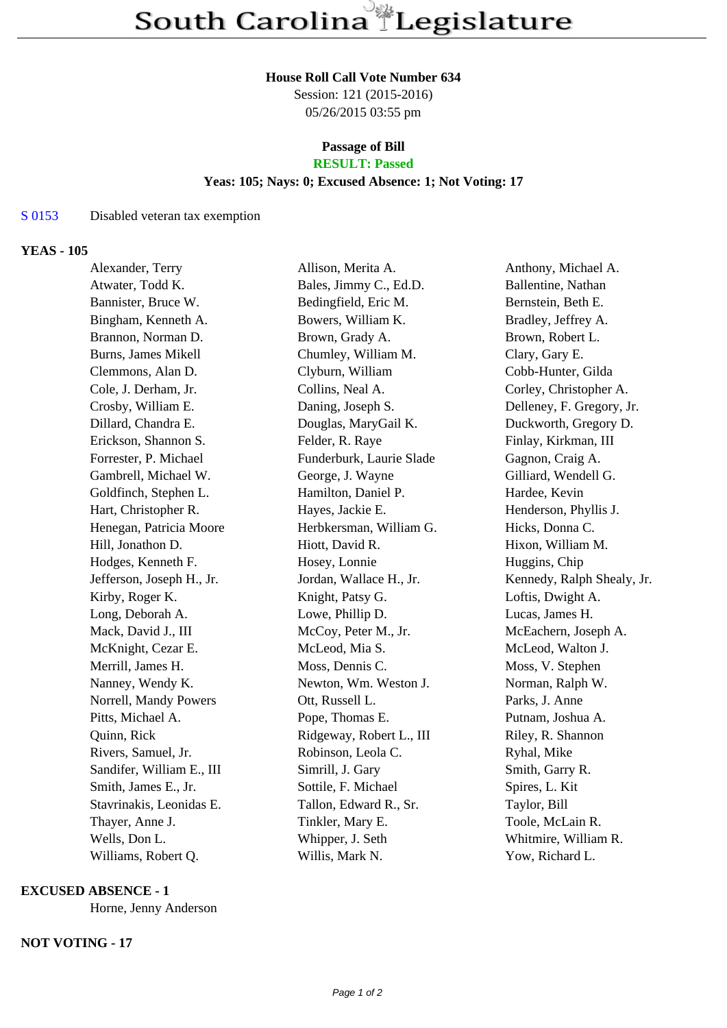#### **House Roll Call Vote Number 634**

Session: 121 (2015-2016) 05/26/2015 03:55 pm

# **Passage of Bill**

# **RESULT: Passed**

# **Yeas: 105; Nays: 0; Excused Absence: 1; Not Voting: 17**

## S 0153 Disabled veteran tax exemption

## **YEAS - 105**

| Alexander, Terry          | Allison, Merita A.       | Anthony, Michael A.        |
|---------------------------|--------------------------|----------------------------|
| Atwater, Todd K.          | Bales, Jimmy C., Ed.D.   | Ballentine, Nathan         |
| Bannister, Bruce W.       | Bedingfield, Eric M.     | Bernstein, Beth E.         |
| Bingham, Kenneth A.       | Bowers, William K.       | Bradley, Jeffrey A.        |
| Brannon, Norman D.        | Brown, Grady A.          | Brown, Robert L.           |
| Burns, James Mikell       | Chumley, William M.      | Clary, Gary E.             |
| Clemmons, Alan D.         | Clyburn, William         | Cobb-Hunter, Gilda         |
| Cole, J. Derham, Jr.      | Collins, Neal A.         | Corley, Christopher A.     |
| Crosby, William E.        | Daning, Joseph S.        | Delleney, F. Gregory, Jr.  |
| Dillard, Chandra E.       | Douglas, MaryGail K.     | Duckworth, Gregory D.      |
| Erickson, Shannon S.      | Felder, R. Raye          | Finlay, Kirkman, III       |
| Forrester, P. Michael     | Funderburk, Laurie Slade | Gagnon, Craig A.           |
| Gambrell, Michael W.      | George, J. Wayne         | Gilliard, Wendell G.       |
| Goldfinch, Stephen L.     | Hamilton, Daniel P.      | Hardee, Kevin              |
| Hart, Christopher R.      | Hayes, Jackie E.         | Henderson, Phyllis J.      |
| Henegan, Patricia Moore   | Herbkersman, William G.  | Hicks, Donna C.            |
| Hill, Jonathon D.         | Hiott, David R.          | Hixon, William M.          |
| Hodges, Kenneth F.        | Hosey, Lonnie            | Huggins, Chip              |
| Jefferson, Joseph H., Jr. | Jordan, Wallace H., Jr.  | Kennedy, Ralph Shealy, Jr. |
| Kirby, Roger K.           | Knight, Patsy G.         | Loftis, Dwight A.          |
| Long, Deborah A.          | Lowe, Phillip D.         | Lucas, James H.            |
| Mack, David J., III       | McCoy, Peter M., Jr.     | McEachern, Joseph A.       |
| McKnight, Cezar E.        | McLeod, Mia S.           | McLeod, Walton J.          |
| Merrill, James H.         | Moss, Dennis C.          | Moss, V. Stephen           |
| Nanney, Wendy K.          | Newton, Wm. Weston J.    | Norman, Ralph W.           |
| Norrell, Mandy Powers     | Ott, Russell L.          | Parks, J. Anne             |
| Pitts, Michael A.         | Pope, Thomas E.          | Putnam, Joshua A.          |
| Quinn, Rick               | Ridgeway, Robert L., III | Riley, R. Shannon          |
| Rivers, Samuel, Jr.       | Robinson, Leola C.       | Ryhal, Mike                |
| Sandifer, William E., III | Simrill, J. Gary         | Smith, Garry R.            |
| Smith, James E., Jr.      | Sottile, F. Michael      | Spires, L. Kit             |
| Stavrinakis, Leonidas E.  | Tallon, Edward R., Sr.   | Taylor, Bill               |
| Thayer, Anne J.           | Tinkler, Mary E.         | Toole, McLain R.           |
| Wells, Don L.             | Whipper, J. Seth         | Whitmire, William R.       |
| Williams, Robert Q.       | Willis, Mark N.          | Yow, Richard L.            |

#### **EXCUSED ABSENCE - 1**

Horne, Jenny Anderson

#### **NOT VOTING - 17**